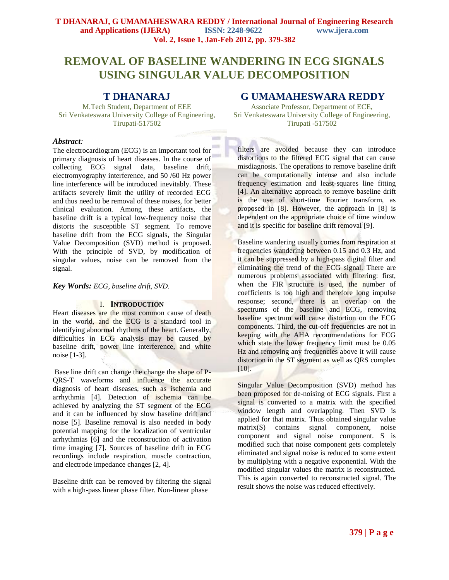# **REMOVAL OF BASELINE WANDERING IN ECG SIGNALS USING SINGULAR VALUE DECOMPOSITION**

 $-1$ 

# **T DHANARAJ**

M.Tech Student, Department of EEE Sri Venkateswara University College of Engineering, Tirupati-517502

### *Abstract:*

The electrocardiogram (ECG) is an important tool for primary diagnosis of heart diseases. In the course of collecting ECG signal data, baseline drift, electromyography interference, and 50 /60 Hz power line interference will be introduced inevitably. These artifacts severely limit the utility of recorded ECG and thus need to be removal of these noises, for better clinical evaluation. Among these artifacts, the baseline drift is a typical low-frequency noise that distorts the susceptible ST segment. To remove baseline drift from the ECG signals, the Singular Value Decomposition (SVD) method is proposed. With the principle of SVD, by modification of singular values, noise can be removed from the signal.

## *Key Words: ECG, baseline drift, SVD*.

# I. **INTRODUCTION**

Heart diseases are the most common cause of death in the world, and the ECG is a standard tool in identifying abnormal rhythms of the heart. Generally, difficulties in ECG analysis may be caused by baseline drift, power line interference, and white noise [1-3].

Base line drift can change the change the shape of P-QRS-T waveforms and influence the accurate diagnosis of heart diseases, such as ischemia and arrhythmia [4]. Detection of ischemia can be achieved by analyzing the ST segment of the ECG and it can be influenced by slow baseline drift and noise [5]. Baseline removal is also needed in body potential mapping for the localization of ventricular arrhythmias [6] and the reconstruction of activation time imaging [7]. Sources of baseline drift in ECG recordings include respiration, muscle contraction, and electrode impedance changes [2, 4].

Baseline drift can be removed by filtering the signal with a high-pass linear phase filter. Non-linear phase

# **G UMAMAHESWARA REDDY**

Associate Professor, Department of ECE, Sri Venkateswara University College of Engineering, Tirupati -517502

filters are avoided because they can introduce distortions to the filtered ECG signal that can cause misdiagnosis. The operations to remove baseline drift can be computationally intense and also include frequency estimation and least-squares line fitting [4]. An alternative approach to remove baseline drift is the use of short-time Fourier transform, as proposed in [8]. However, the approach in [8] is dependent on the appropriate choice of time window and it is specific for baseline drift removal [9].

Baseline wandering usually comes from respiration at frequencies wandering between 0.15 and 0.3 Hz, and it can be suppressed by a high-pass digital filter and eliminating the trend of the ECG signal. There are numerous problems associated with filtering: first, when the FIR structure is used, the number of coefficients is too high and therefore long impulse response; second, there is an overlap on the spectrums of the baseline and ECG, removing baseline spectrum will cause distortion on the ECG components. Third, the cut-off frequencies are not in keeping with the AHA recommendations for ECG which state the lower frequency limit must be  $0.05$ Hz and removing any frequencies above it will cause distortion in the ST segment as well as QRS complex [10].

Singular Value Decomposition (SVD) method has been proposed for de-noising of ECG signals. First a signal is converted to a matrix with the specified window length and overlapping. Then SVD is applied for that matrix. Thus obtained singular value matrix(S) contains signal component, noise component and signal noise component. S is modified such that noise component gets completely eliminated and signal noise is reduced to some extent by multiplying with a negative exponential. With the modified singular values the matrix is reconstructed. This is again converted to reconstructed signal. The result shows the noise was reduced effectively.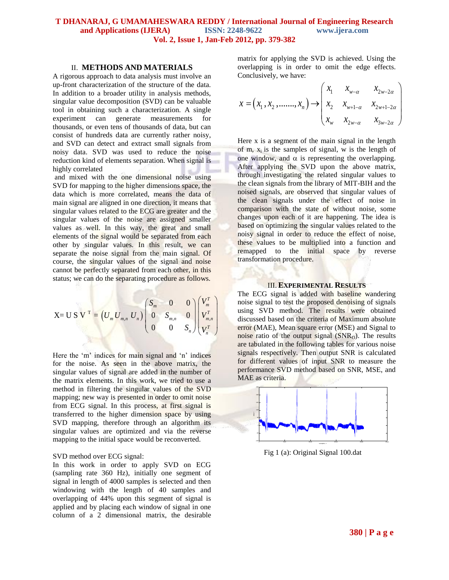# **T DHANARAJ, G UMAMAHESWARA REDDY / International Journal of Engineering Research and Applications (IJERA) ISSN: 2248-9622 www.ijera.com Vol. 2, Issue 1, Jan-Feb 2012, pp. 379-382**

#### II. **METHODS AND MATERIALS**

A rigorous approach to data analysis must involve an up-front characterization of the structure of the data. In addition to a broader utility in analysis methods, singular value decomposition (SVD) can be valuable tool in obtaining such a characterization. A single experiment can generate measurements for thousands, or even tens of thousands of data, but can consist of hundreds data are currently rather noisy, and SVD can detect and extract small signals from noisy data. SVD was used to reduce the noise reduction kind of elements separation. When signal is highly correlated

and mixed with the one dimensional noise using SVD for mapping to the higher dimensions space, the data which is more correlated, means the data of main signal are aligned in one direction, it means that singular values related to the ECG are greater and the singular values of the noise are assigned smaller values as well. In this way, the great and small elements of the signal would be separated from each other by singular values. In this result, we can separate the noise signal from the main signal. Of course, the singular values of the signal and noise cannot be perfectly separated from each other, in this status; we can do the separating procedure as follows.

$$
X = U S VT = (Um Um,n Un) \begin{pmatrix} S_m & 0 & 0 \ 0 & S_{m,n} & 0 \ 0 & 0 & S_n \end{pmatrix} \begin{pmatrix} V_m^T \\ V_m^T \\ V_m^T \end{pmatrix} \begin{pmatrix} N \\ W_m^T \\ N \\ e^T \\ e^T \\ nR \end{pmatrix}
$$

Here the 'm' indices for main signal and 'n' indices for the noise. As seen in the above matrix, the singular values of signal are added in the number of the matrix elements. In this work, we tried to use a method in filtering the singular values of the SVD mapping; new way is presented in order to omit noise from ECG signal. In this process, at first signal is transferred to the higher dimension space by using SVD mapping, therefore through an algorithm its singular values are optimized and via the reverse mapping to the initial space would be reconverted.

#### SVD method over ECG signal:

In this work in order to apply SVD on ECG (sampling rate 360 Hz), initially one segment of signal in length of 4000 samples is selected and then windowing with the length of 40 samples and overlapping of 44% upon this segment of signal is applied and by placing each window of signal in one column of a 2 dimensional matrix, the desirable

matrix for applying the SVD is achieved. Using the overlapping is in order to omit the edge effects. Conclusively, we have:

Conclusively, we have:  
\n
$$
x = (x_1, x_2, \dots, x_n) \rightarrow \begin{pmatrix} x_1 & x_{w-\alpha} & x_{2w-2\alpha} \\ x_2 & x_{w+1-\alpha} & x_{2w+1-2\alpha} \\ x_w & x_{2w-\alpha} & x_{3w-2\alpha} \end{pmatrix}
$$

Here x is a segment of the main signal in the length of m,  $x_i$  is the samples of signal, w is the length of one window, and  $\alpha$  is representing the overlapping. After applying the SVD upon the above matrix, through investigating the related singular values to the clean signals from the library of MIT-BIH and the noised signals, are observed that singular values of the clean signals under the effect of noise in comparison with the state of without noise, some changes upon each of it are happening. The idea is based on optimizing the singular values related to the noisy signal in order to reduce the effect of noise, these values to be multiplied into a function and remapped to the initial space by reverse transformation procedure.

## III.**EXPERIMENTAL RESULTS**

The ECG signal is added with baseline wandering noise signal to test the proposed denoising of signals using SVD method. The results were obtained discussed based on the criteria of Maximum absolute error (MAE), Mean square error (MSE) and Signal to noise ratio of the output signal  $(SNR_0)$ . The results are tabulated in the following tables for various noise signals respectively. Then output SNR is calculated for different values of input SNR to measure the performance SVD method based on SNR, MSE, and MAE as criteria.



Fig 1 (a): Original Signal 100.dat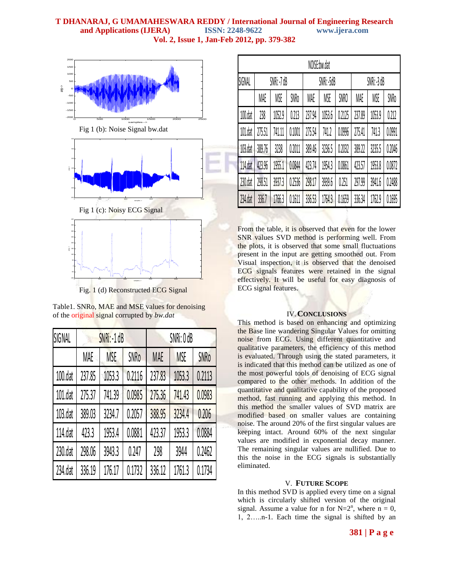# **T DHANARAJ, G UMAMAHESWARA REDDY / International Journal of Engineering Research and Applications (IJERA) ISSN: 2248-9622 www.ijera.com Vol. 2, Issue 1, Jan-Feb 2012, pp. 379-382**



Fig. 1 (d) Reconstructed ECG Signal

| Table 1. SNRo, MAE and MSE values for denoising |
|-------------------------------------------------|
| of the original signal corrupted by bw.dat      |

| SIGNAL  |            | SNRi: -1 dB |             | SNRi: OdB  |            |             |  |
|---------|------------|-------------|-------------|------------|------------|-------------|--|
|         | <b>MAE</b> | <b>MSE</b>  | <b>SNRo</b> | <b>MAE</b> | <b>MSE</b> | <b>SNRo</b> |  |
| 100.dat | 237.85     | 1053.3      | 0.2116      | 237.83     | 1053.3     | 0.2113      |  |
| 101.dat | 275.37     | 741.39      | 0.0985      | 275.36     | 741.43     | 0.0983      |  |
| 103.dat | 389.03     | 3234.7      | 0.2057      | 388.95     | 3234.4     | 0.206       |  |
| 114.dat | 423.3      | 1953.4      | 0.0881      | 423.37     | 1953.3     | 0.0884      |  |
| 230.dat | 298.06     | 3943.3      | 0.247       | 298        | 3944       | 0.2462      |  |
| 234.dat | 336.19     | 176.17      | 0.1732      | 336.12     | 1761.3     | 0.1734      |  |

| NOISE:bw.dat |           |        |        |            |        |             |             |        |        |  |  |  |
|--------------|-----------|--------|--------|------------|--------|-------------|-------------|--------|--------|--|--|--|
| SIGNAL       | SNRi:-7dB |        |        | SNRi: -5dB |        |             | SNRi: -3 dB |        |        |  |  |  |
|              | MAE       | MSE    | SNRo   | MAE        | MSE    | <b>SNRO</b> | MAE         | MSE    | SNRo   |  |  |  |
| 100.dat      | 238       | 1052.9 | 0.213  | 237.94     | 1053.6 | 0.2125      | 237.89      | 1053.9 | 0.212  |  |  |  |
| 101.dat      | 275.51    | 741.11 | 0.1001 | 275.54     | 741.2  | 0.0996      | 275.41      | 741.3  | 0.0991 |  |  |  |
| 103.dat      | 389.76    | 3238   | 0.2011 | 389.46     | 3236.5 | 0.2032      | 389.22      | 3235.5 | 0.2046 |  |  |  |
| 114.dat      | 423.96    | 1955.1 | 0.0844 | 423.74     | 1954.3 | 0.0861      | 423.57      | 1953.8 | 0.0872 |  |  |  |
| 230.dat      | 298.51    | 3937.3 | 0.2536 | 298.17     | 3939.6 | 0.251       | 297.99      | 3941.6 | 0.2488 |  |  |  |
| 234.dat      | 336.7     | 1766.3 | 0.1611 | 336.53     | 1764.3 | 0.1659      | 336.34      | 1762.9 | 0.1695 |  |  |  |

From the table, it is observed that even for the lower SNR values SVD method is performing well. From the plots, it is observed that some small fluctuations present in the input are getting smoothed out. From Visual inspection, it is observed that the denoised ECG signals features were retained in the signal effectively. It will be useful for easy diagnosis of ECG signal features.

# IV.**CONCLUSIONS**

This method is based on enhancing and optimizing the Base line wandering Singular Values for omitting noise from ECG. Using different quantitative and qualitative parameters, the efficiency of this method is evaluated. Through using the stated parameters, it is indicated that this method can be utilized as one of the most powerful tools of denoising of ECG signal compared to the other methods. In addition of the quantitative and qualitative capability of the proposed method, fast running and applying this method. In this method the smaller values of SVD matrix are modified based on smaller values are containing noise. The around 20% of the first singular values are keeping intact. Around 60% of the next singular values are modified in exponential decay manner. The remaining singular values are nullified. Due to this the noise in the ECG signals is substantially eliminated.

# V. **FUTURE SCOPE**

In this method SVD is applied every time on a signal which is circularly shifted version of the original signal. Assume a value for n for  $N=2^n$ , where  $n = 0$ , 1, 2…..n-1. Each time the signal is shifted by an

# **381 | P a g e**